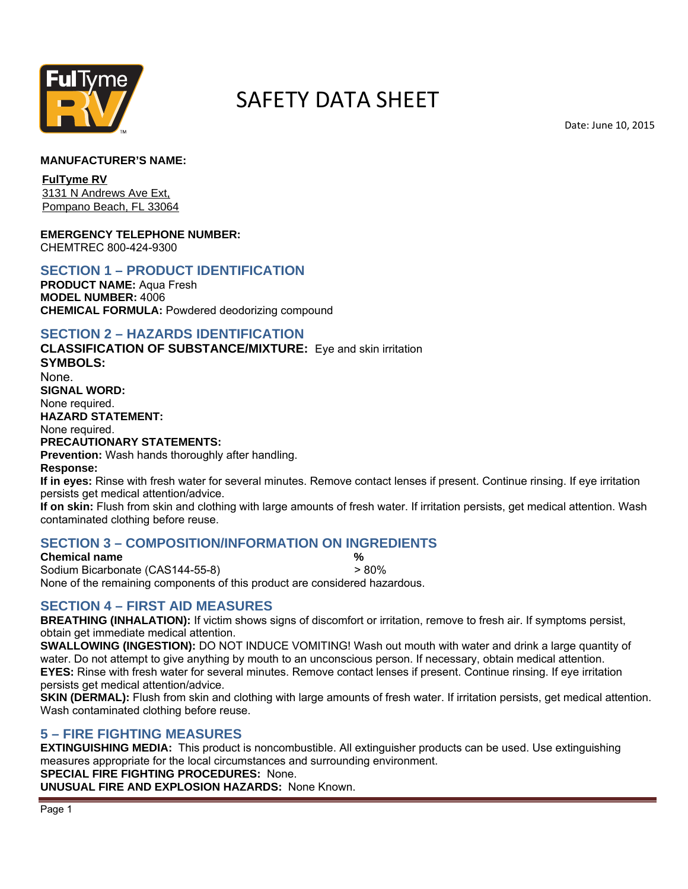

# SAFETY DATA SHEET

Date: June 10, 2015

#### **MANUFACTURER'S NAME:**

**FulTyme RV**  3131 N Andrews Ave Ext, Pompano Beach, FL 33064

**EMERGENCY TELEPHONE NUMBER:** 

CHEMTREC 800-424-9300

# **SECTION 1 – PRODUCT IDENTIFICATION**

**PRODUCT NAME:** Aqua Fresh **MODEL NUMBER:** 4006 **CHEMICAL FORMULA:** Powdered deodorizing compound

#### **SECTION 2 – HAZARDS IDENTIFICATION**

 **SIGNAL WORD: HAZARD STATEMENT: CLASSIFICATION OF SUBSTANCE/MIXTURE:** Eye and skin irritation **SYMBOLS:**  None. None required. None required. **PRECAUTIONARY STATEMENTS:** 

**Prevention:** Wash hands thoroughly after handling.

**Response:** 

**If in eyes:** Rinse with fresh water for several minutes. Remove contact lenses if present. Continue rinsing. If eye irritation persists get medical attention/advice.

 **If on skin:** Flush from skin and clothing with large amounts of fresh water. If irritation persists, get medical attention. Wash contaminated clothing before reuse.

#### **SECTION 3 – COMPOSITION/INFORMATION ON INGREDIENTS**

**Chemical name**  $\%$ Sodium Bicarbonate (CAS144-55-8) > 80% None of the remaining components of this product are considered hazardous.

# **SECTION 4 – FIRST AID MEASURES**

 **BREATHING (INHALATION):** If victim shows signs of discomfort or irritation, remove to fresh air. If symptoms persist, obtain get immediate medical attention.

 **EYES:** Rinse with fresh water for several minutes. Remove contact lenses if present. Continue rinsing. If eye irritation **SWALLOWING (INGESTION):** DO NOT INDUCE VOMITING! Wash out mouth with water and drink a large quantity of water. Do not attempt to give anything by mouth to an unconscious person. If necessary, obtain medical attention. persists get medical attention/advice.

**SKIN (DERMAL):** Flush from skin and clothing with large amounts of fresh water. If irritation persists, get medical attention. Wash contaminated clothing before reuse.

#### **5 – FIRE FIGHTING MEASURES**

**EXTINGUISHING MEDIA:** This product is noncombustible. All extinguisher products can be used. Use extinguishing measures appropriate for the local circumstances and surrounding environment. **SPECIAL FIRE FIGHTING PROCEDURES:** None.

**UNUSUAL FIRE AND EXPLOSION HAZARDS:** None Known.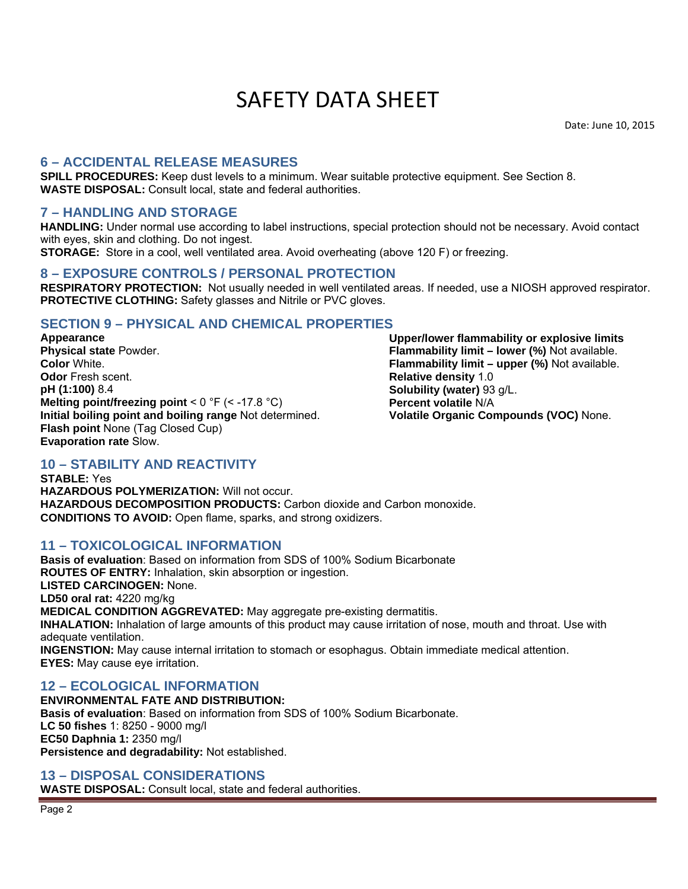# SAFETY DATA SHEET

Date: June 10, 2015

# **6 – ACCIDENTAL RELEASE MEASURES**

 **SPILL PROCEDURES:** Keep dust levels to a minimum. Wear suitable protective equipment. See Section 8. **WASTE DISPOSAL:** Consult local, state and federal authorities.

### **7 – HANDLING AND STORAGE**

**HANDLING:** Under normal use according to label instructions, special protection should not be necessary. Avoid contact with eyes, skin and clothing. Do not ingest.

**STORAGE:** Store in a cool, well ventilated area. Avoid overheating (above 120 F) or freezing.

### **8 – EXPOSURE CONTROLS / PERSONAL PROTECTION**

**RESPIRATORY PROTECTION:** Not usually needed in well ventilated areas. If needed, use a NIOSH approved respirator. **PROTECTIVE CLOTHING:** Safety glasses and Nitrile or PVC gloves.

### **SECTION 9 – PHYSICAL AND CHEMICAL PROPERTIES**

 **Flash point** None (Tag Closed Cup) **Appearance Physical state** Powder. **Color** White. **Odor** Fresh scent. **pH (1:100)** 8.4 **Melting point/freezing point** < 0 °F (< -17.8 °C) **Initial boiling point and boiling range** Not determined. **Evaporation rate** Slow.

**Upper/lower flammability or explosive limits Flammability limit – lower (%)** Not available. **Flammability limit – upper (%)** Not available. **Relative density** 1.0 **Solubility (water)** 93 g/L. **Percent volatile** N/A **Volatile Organic Compounds (VOC)** None.

# **10 – STABILITY AND REACTIVITY**

 **STABLE:** Yes **CONDITIONS TO AVOID:** Open flame, sparks, and strong oxidizers. **HAZARDOUS POLYMERIZATION:** Will not occur. **HAZARDOUS DECOMPOSITION PRODUCTS:** Carbon dioxide and Carbon monoxide.

#### **11 – TOXICOLOGICAL INFORMATION**

 **ROUTES OF ENTRY:** Inhalation, skin absorption or ingestion. **Basis of evaluation**: Based on information from SDS of 100% Sodium Bicarbonate **LISTED CARCINOGEN:** None. **LD50 oral rat:** 4220 mg/kg **MEDICAL CONDITION AGGREVATED:** May aggregate pre-existing dermatitis. **INHALATION:** Inhalation of large amounts of this product may cause irritation of nose, mouth and throat. Use with adequate ventilation. **INGENSTION:** May cause internal irritation to stomach or esophagus. Obtain immediate medical attention. **EYES:** May cause eye irritation.

# **12 – ECOLOGICAL INFORMATION**

**ENVIRONMENTAL FATE AND DISTRIBUTION: Basis of evaluation:** Based on information from SDS of 100% Sodium Bicarbonate. **LC 50 fishes** 1: 8250 - 9000 mg/l **EC50 Daphnia 1:** 2350 mg/l **Persistence and degradability:** Not established.

#### **13 – DISPOSAL CONSIDERATIONS**

**WASTE DISPOSAL:** Consult local, state and federal authorities.